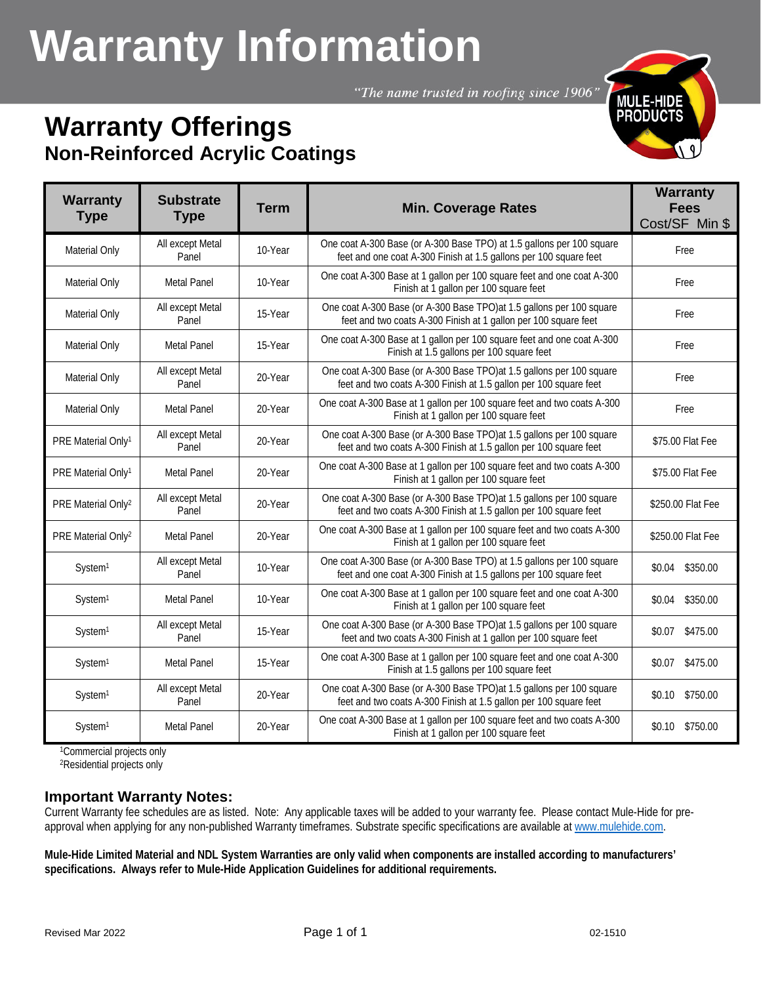# **Warranty Information**

"The name trusted in roofing since 1906"

# **Warranty Offerings Non-Reinforced Acrylic Coatings**



| <b>Warranty</b><br><b>Type</b> | <b>Substrate</b><br><b>Type</b> | <b>Term</b> | <b>Min. Coverage Rates</b>                                                                                                                 | <b>Warranty</b><br><b>Fees</b><br>Cost/SF Min \$ |
|--------------------------------|---------------------------------|-------------|--------------------------------------------------------------------------------------------------------------------------------------------|--------------------------------------------------|
| <b>Material Only</b>           | All except Metal<br>Panel       | 10-Year     | One coat A-300 Base (or A-300 Base TPO) at 1.5 gallons per 100 square<br>feet and one coat A-300 Finish at 1.5 gallons per 100 square feet | Free                                             |
| Material Only                  | <b>Metal Panel</b>              | 10-Year     | One coat A-300 Base at 1 gallon per 100 square feet and one coat A-300<br>Finish at 1 gallon per 100 square feet                           | Free                                             |
| Material Only                  | All except Metal<br>Panel       | 15-Year     | One coat A-300 Base (or A-300 Base TPO) at 1.5 gallons per 100 square<br>feet and two coats A-300 Finish at 1 gallon per 100 square feet   | Free                                             |
| Material Only                  | <b>Metal Panel</b>              | 15-Year     | One coat A-300 Base at 1 gallon per 100 square feet and one coat A-300<br>Finish at 1.5 gallons per 100 square feet                        | <b>Free</b>                                      |
| <b>Material Only</b>           | All except Metal<br>Panel       | 20-Year     | One coat A-300 Base (or A-300 Base TPO) at 1.5 gallons per 100 square<br>feet and two coats A-300 Finish at 1.5 gallon per 100 square feet | Free                                             |
| Material Only                  | <b>Metal Panel</b>              | 20-Year     | One coat A-300 Base at 1 gallon per 100 square feet and two coats A-300<br>Finish at 1 gallon per 100 square feet                          | Free                                             |
| PRE Material Only <sup>1</sup> | All except Metal<br>Panel       | 20-Year     | One coat A-300 Base (or A-300 Base TPO) at 1.5 gallons per 100 square<br>feet and two coats A-300 Finish at 1.5 gallon per 100 square feet | \$75.00 Flat Fee                                 |
| PRE Material Only <sup>1</sup> | <b>Metal Panel</b>              | 20-Year     | One coat A-300 Base at 1 gallon per 100 square feet and two coats A-300<br>Finish at 1 gallon per 100 square feet                          | \$75.00 Flat Fee                                 |
| PRE Material Only <sup>2</sup> | All except Metal<br>Panel       | 20-Year     | One coat A-300 Base (or A-300 Base TPO) at 1.5 gallons per 100 square<br>feet and two coats A-300 Finish at 1.5 gallon per 100 square feet | \$250.00 Flat Fee                                |
| PRE Material Only <sup>2</sup> | <b>Metal Panel</b>              | 20-Year     | One coat A-300 Base at 1 gallon per 100 square feet and two coats A-300<br>Finish at 1 gallon per 100 square feet                          | \$250.00 Flat Fee                                |
| System <sup>1</sup>            | All except Metal<br>Panel       | 10-Year     | One coat A-300 Base (or A-300 Base TPO) at 1.5 gallons per 100 square<br>feet and one coat A-300 Finish at 1.5 gallons per 100 square feet | \$0.04 \$350.00                                  |
| System <sup>1</sup>            | <b>Metal Panel</b>              | 10-Year     | One coat A-300 Base at 1 gallon per 100 square feet and one coat A-300<br>Finish at 1 gallon per 100 square feet                           | \$350.00<br>\$0.04                               |
| System <sup>1</sup>            | All except Metal<br>Panel       | 15-Year     | One coat A-300 Base (or A-300 Base TPO) at 1.5 gallons per 100 square<br>feet and two coats A-300 Finish at 1 gallon per 100 square feet   | \$475.00<br>\$0.07                               |
| System <sup>1</sup>            | <b>Metal Panel</b>              | 15-Year     | One coat A-300 Base at 1 gallon per 100 square feet and one coat A-300<br>Finish at 1.5 gallons per 100 square feet                        | \$0.07 \$475.00                                  |
| System <sup>1</sup>            | All except Metal<br>Panel       | 20-Year     | One coat A-300 Base (or A-300 Base TPO) at 1.5 gallons per 100 square<br>feet and two coats A-300 Finish at 1.5 gallon per 100 square feet | \$0.10 \$750.00                                  |
| System <sup>1</sup>            | <b>Metal Panel</b>              | 20-Year     | One coat A-300 Base at 1 gallon per 100 square feet and two coats A-300<br>Finish at 1 gallon per 100 square feet                          | \$0.10 \$750.00                                  |

1Commercial projects only

2Residential projects only

## **Important Warranty Notes:**

Current Warranty fee schedules are as listed. Note: Any applicable taxes will be added to your warranty fee. Please contact Mule-Hide for preapproval when applying for any non-published Warranty timeframes. Substrate specific specifications are available a[t www.mulehide.com.](http://www.mulehide.com/)

**Mule-Hide Limited Material and NDL System Warranties are only valid when components are installed according to manufacturers' specifications. Always refer to Mule-Hide Application Guidelines for additional requirements.**